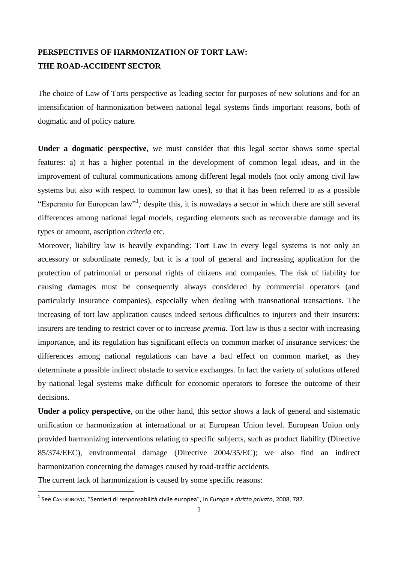## **PERSPECTIVES OF HARMONIZATION OF TORT LAW: THE ROAD-ACCIDENT SECTOR**

The choice of Law of Torts perspective as leading sector for purposes of new solutions and for an intensification of harmonization between national legal systems finds important reasons, both of dogmatic and of policy nature.

**Under a dogmatic perspective**, we must consider that this legal sector shows some special features: a) it has a higher potential in the development of common legal ideas, and in the improvement of cultural communications among different legal models (not only among civil law systems but also with respect to common law ones), so that it has been referred to as a possible "Esperanto for European law"<sup>1</sup>; despite this, it is nowadays a sector in which there are still several differences among national legal models, regarding elements such as recoverable damage and its types or amount, ascription *criteria* etc.

Moreover, liability law is heavily expanding: Tort Law in every legal systems is not only an accessory or subordinate remedy, but it is a tool of general and increasing application for the protection of patrimonial or personal rights of citizens and companies. The risk of liability for causing damages must be consequently always considered by commercial operators (and particularly insurance companies), especially when dealing with transnational transactions. The increasing of tort law application causes indeed serious difficulties to injurers and their insurers: insurers are tending to restrict cover or to increase *premia*. Tort law is thus a sector with increasing importance, and its regulation has significant effects on common market of insurance services: the differences among national regulations can have a bad effect on common market, as they determinate a possible indirect obstacle to service exchanges. In fact the variety of solutions offered by national legal systems make difficult for economic operators to foresee the outcome of their decisions.

**Under a policy perspective**, on the other hand, this sector shows a lack of general and sistematic unification or harmonization at international or at European Union level. European Union only provided harmonizing interventions relating to specific subjects, such as product liability (Directive 85/374/EEC), environmental damage (Directive 2004/35/EC); we also find an indirect harmonization concerning the damages caused by road-traffic accidents.

The current lack of harmonization is caused by some specific reasons:

 1 See CASTRONOVO, "Sentieri di responsabilità civile europea", in *Europa e diritto privato*, 2008, 787.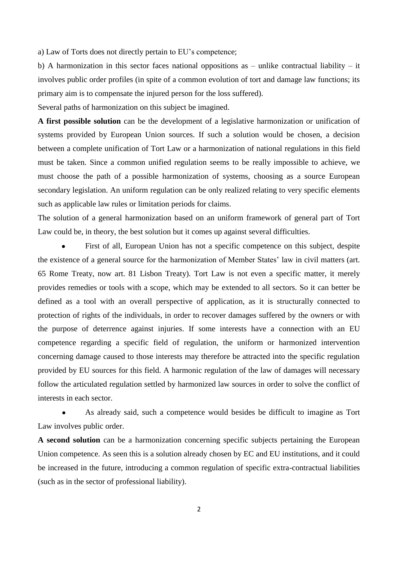a) Law of Torts does not directly pertain to EU's competence;

b) A harmonization in this sector faces national oppositions as – unlike contractual liability – it involves public order profiles (in spite of a common evolution of tort and damage law functions; its primary aim is to compensate the injured person for the loss suffered).

Several paths of harmonization on this subject be imagined.

**A first possible solution** can be the development of a legislative harmonization or unification of systems provided by European Union sources. If such a solution would be chosen, a decision between a complete unification of Tort Law or a harmonization of national regulations in this field must be taken. Since a common unified regulation seems to be really impossible to achieve, we must choose the path of a possible harmonization of systems, choosing as a source European secondary legislation. An uniform regulation can be only realized relating to very specific elements such as applicable law rules or limitation periods for claims.

The solution of a general harmonization based on an uniform framework of general part of Tort Law could be, in theory, the best solution but it comes up against several difficulties.

First of all, European Union has not a specific competence on this subject, despite the existence of a general source for the harmonization of Member States' law in civil matters (art. 65 Rome Treaty, now art. 81 Lisbon Treaty). Tort Law is not even a specific matter, it merely provides remedies or tools with a scope, which may be extended to all sectors. So it can better be defined as a tool with an overall perspective of application, as it is structurally connected to protection of rights of the individuals, in order to recover damages suffered by the owners or with the purpose of deterrence against injuries. If some interests have a connection with an EU competence regarding a specific field of regulation, the uniform or harmonized intervention concerning damage caused to those interests may therefore be attracted into the specific regulation provided by EU sources for this field. A harmonic regulation of the law of damages will necessary follow the articulated regulation settled by harmonized law sources in order to solve the conflict of interests in each sector.

As already said, such a competence would besides be difficult to imagine as Tort Law involves public order.

**A second solution** can be a harmonization concerning specific subjects pertaining the European Union competence. As seen this is a solution already chosen by EC and EU institutions, and it could be increased in the future, introducing a common regulation of specific extra-contractual liabilities (such as in the sector of professional liability).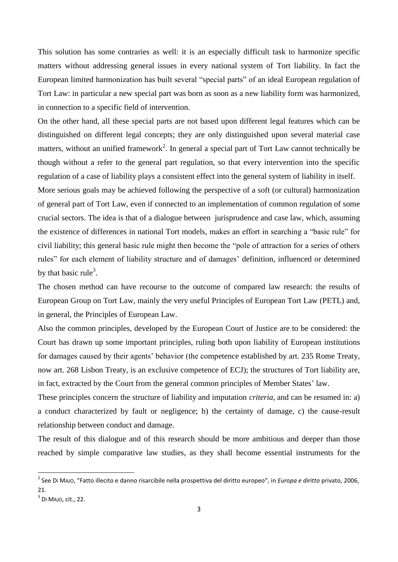This solution has some contraries as well: it is an especially difficult task to harmonize specific matters without addressing general issues in every national system of Tort liability. In fact the European limited harmonization has built several "special parts" of an ideal European regulation of Tort Law: in particular a new special part was born as soon as a new liability form was harmonized, in connection to a specific field of intervention.

On the other hand, all these special parts are not based upon different legal features which can be distinguished on different legal concepts; they are only distinguished upon several material case matters, without an unified framework<sup>2</sup>. In general a special part of Tort Law cannot technically be though without a refer to the general part regulation, so that every intervention into the specific regulation of a case of liability plays a consistent effect into the general system of liability in itself.

More serious goals may be achieved following the perspective of a soft (or cultural) harmonization of general part of Tort Law, even if connected to an implementation of common regulation of some crucial sectors. The idea is that of a dialogue between jurisprudence and case law, which, assuming the existence of differences in national Tort models, makes an effort in searching a "basic rule" for civil liability; this general basic rule might then become the "pole of attraction for a series of others rules" for each element of liability structure and of damages' definition, influenced or determined by that basic rule<sup>3</sup>.

The chosen method can have recourse to the outcome of compared law research: the results of European Group on Tort Law, mainly the very useful Principles of European Tort Law (PETL) and, in general, the Principles of European Law.

Also the common principles, developed by the European Court of Justice are to be considered: the Court has drawn up some important principles, ruling both upon liability of European institutions for damages caused by their agents' behavior (the competence established by art. 235 Rome Treaty, now art. 268 Lisbon Treaty, is an exclusive competence of ECJ); the structures of Tort liability are, in fact, extracted by the Court from the general common principles of Member States' law.

These principles concern the structure of liability and imputation *criteria*, and can be resumed in: a) a conduct characterized by fault or negligence; b) the certainty of damage, c) the cause-result relationship between conduct and damage.

The result of this dialogue and of this research should be more ambitious and deeper than those reached by simple comparative law studies, as they shall become essential instruments for the

 2 See DI MAJO, "Fatto illecito e danno risarcibile nella prospettiva del diritto europeo", in *Europa e diritto* privato, 2006, 21.

 $3$  DI Majo, cit., 22.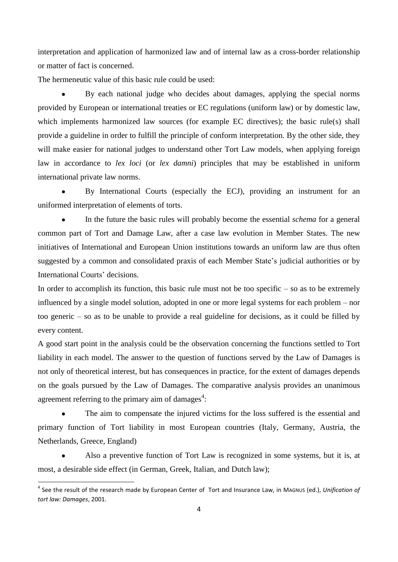interpretation and application of harmonized law and of internal law as a cross-border relationship or matter of fact is concerned.

The hermeneutic value of this basic rule could be used:

By each national judge who decides about damages, applying the special norms provided by European or international treaties or EC regulations (uniform law) or by domestic law, which implements harmonized law sources (for example EC directives); the basic rule(s) shall provide a guideline in order to fulfill the principle of conform interpretation. By the other side, they will make easier for national judges to understand other Tort Law models, when applying foreign law in accordance to *lex loci* (or *lex damni*) principles that may be established in uniform international private law norms.

By International Courts (especially the ECJ), providing an instrument for an uniformed interpretation of elements of torts.

In the future the basic rules will probably become the essential *schema* for a general common part of Tort and Damage Law, after a case law evolution in Member States. The new initiatives of International and European Union institutions towards an uniform law are thus often suggested by a common and consolidated praxis of each Member State's judicial authorities or by International Courts' decisions.

In order to accomplish its function, this basic rule must not be too specific  $-$  so as to be extremely influenced by a single model solution, adopted in one or more legal systems for each problem – nor too generic – so as to be unable to provide a real guideline for decisions, as it could be filled by every content.

A good start point in the analysis could be the observation concerning the functions settled to Tort liability in each model. The answer to the question of functions served by the Law of Damages is not only of theoretical interest, but has consequences in practice, for the extent of damages depends on the goals pursued by the Law of Damages. The comparative analysis provides an unanimous agreement referring to the primary aim of damages<sup>4</sup>:

The aim to compensate the injured victims for the loss suffered is the essential and primary function of Tort liability in most European countries (Italy, Germany, Austria, the Netherlands, Greece, England)

Also a preventive function of Tort Law is recognized in some systems, but it is, at most, a desirable side effect (in German, Greek, Italian, and Dutch law);

1

<sup>4</sup> See the result of the research made by European Center of Tort and Insurance Law, in MAGNUS (ed.), *Unification of tort law: Damages*, 2001.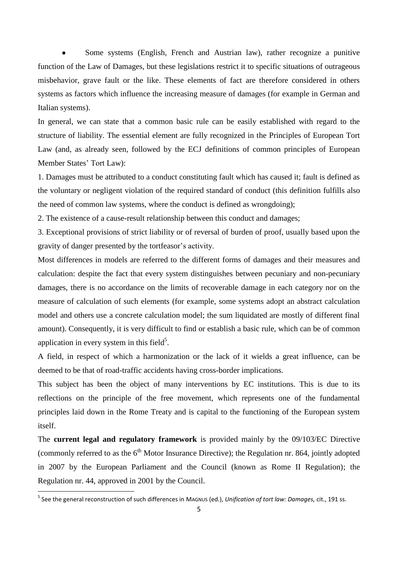Some systems (English, French and Austrian law), rather recognize a punitive function of the Law of Damages, but these legislations restrict it to specific situations of outrageous misbehavior, grave fault or the like. These elements of fact are therefore considered in others systems as factors which influence the increasing measure of damages (for example in German and Italian systems).

In general, we can state that a common basic rule can be easily established with regard to the structure of liability. The essential element are fully recognized in the Principles of European Tort Law (and, as already seen, followed by the ECJ definitions of common principles of European Member States' Tort Law):

1. Damages must be attributed to a conduct constituting fault which has caused it; fault is defined as the voluntary or negligent violation of the required standard of conduct (this definition fulfills also the need of common law systems, where the conduct is defined as wrongdoing);

2. The existence of a cause-result relationship between this conduct and damages;

3. Exceptional provisions of strict liability or of reversal of burden of proof, usually based upon the gravity of danger presented by the tortfeasor's activity.

Most differences in models are referred to the different forms of damages and their measures and calculation: despite the fact that every system distinguishes between pecuniary and non-pecuniary damages, there is no accordance on the limits of recoverable damage in each category nor on the measure of calculation of such elements (for example, some systems adopt an abstract calculation model and others use a concrete calculation model; the sum liquidated are mostly of different final amount). Consequently, it is very difficult to find or establish a basic rule, which can be of common application in every system in this field<sup>5</sup>.

A field, in respect of which a harmonization or the lack of it wields a great influence, can be deemed to be that of road-traffic accidents having cross-border implications.

This subject has been the object of many interventions by EC institutions. This is due to its reflections on the principle of the free movement, which represents one of the fundamental principles laid down in the Rome Treaty and is capital to the functioning of the European system itself.

The **current legal and regulatory framework** is provided mainly by the 09/103/EC Directive (commonly referred to as the  $6<sup>th</sup>$  Motor Insurance Directive); the Regulation nr. 864, jointly adopted in 2007 by the European Parliament and the Council (known as Rome II Regulation); the Regulation nr. 44, approved in 2001 by the Council.

 5 See the general reconstruction of such differences in MAGNUS (ed.), *Unification of tort law: Damages,* cit., 191 ss.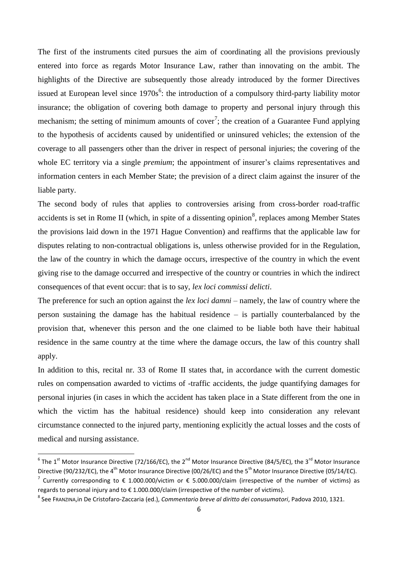The first of the instruments cited pursues the aim of coordinating all the provisions previously entered into force as regards Motor Insurance Law, rather than innovating on the ambit. The highlights of the Directive are subsequently those already introduced by the former Directives issued at European level since  $1970s^6$ : the introduction of a compulsory third-party liability motor insurance; the obligation of covering both damage to property and personal injury through this mechanism; the setting of minimum amounts of cover<sup>7</sup>; the creation of a Guarantee Fund applying to the hypothesis of accidents caused by unidentified or uninsured vehicles; the extension of the coverage to all passengers other than the driver in respect of personal injuries; the covering of the whole EC territory via a single *premium*; the appointment of insurer's claims representatives and information centers in each Member State; the prevision of a direct claim against the insurer of the liable party.

The second body of rules that applies to controversies arising from cross-border road-traffic accidents is set in Rome II (which, in spite of a dissenting opinion<sup>8</sup>, replaces among Member States the provisions laid down in the 1971 Hague Convention) and reaffirms that the applicable law for disputes relating to non-contractual obligations is, unless otherwise provided for in the Regulation, the law of the country in which the damage occurs, irrespective of the country in which the event giving rise to the damage occurred and irrespective of the country or countries in which the indirect consequences of that event occur: that is to say, *lex loci commissi delicti*.

The preference for such an option against the *lex loci damni* – namely, the law of country where the person sustaining the damage has the habitual residence – is partially counterbalanced by the provision that, whenever this person and the one claimed to be liable both have their habitual residence in the same country at the time where the damage occurs, the law of this country shall apply.

In addition to this, recital nr. 33 of Rome II states that, in accordance with the current domestic rules on compensation awarded to victims of -traffic accidents, the judge quantifying damages for personal injuries (in cases in which the accident has taken place in a State different from the one in which the victim has the habitual residence) should keep into consideration any relevant circumstance connected to the injured party, mentioning explicitly the actual losses and the costs of medical and nursing assistance.

 6 The 1st Motor Insurance Directive (72/166/EC), the 2nd Motor Insurance Directive (84/5/EC), the 3rd Motor Insurance Directive (90/232/EC), the 4<sup>th</sup> Motor Insurance Directive (00/26/EC) and the 5<sup>th</sup> Motor Insurance Directive (05/14/EC).

<sup>&</sup>lt;sup>7</sup> Currently corresponding to € 1.000.000/victim or € 5.000.000/claim (irrespective of the number of victims) as regards to personal injury and to € 1.000.000/claim (irrespective of the number of victims).

<sup>8</sup> See FRANZINA,in De Cristofaro-Zaccaria (ed.), *Commentario breve al diritto dei conusumatori*, Padova 2010, 1321.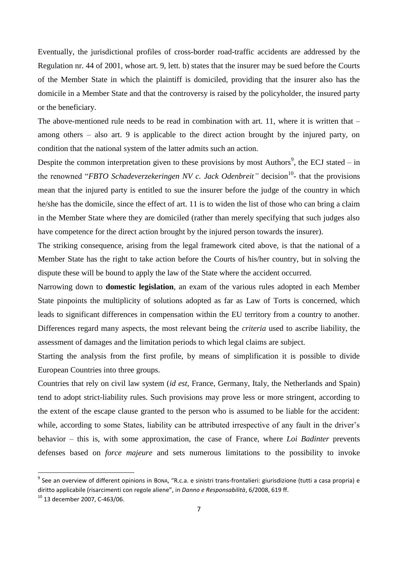Eventually, the jurisdictional profiles of cross-border road-traffic accidents are addressed by the Regulation nr. 44 of 2001, whose art. 9, lett. b) states that the insurer may be sued before the Courts of the Member State in which the plaintiff is domiciled, providing that the insurer also has the domicile in a Member State and that the controversy is raised by the policyholder, the insured party or the beneficiary.

The above-mentioned rule needs to be read in combination with art. 11, where it is written that – among others – also art. 9 is applicable to the direct action brought by the injured party, on condition that the national system of the latter admits such an action.

Despite the common interpretation given to these provisions by most Authors<sup>9</sup>, the ECJ stated – in the renowned "*FBTO Schadeverzekeringen NV c. Jack Odenbreit*" decision<sup>10</sup>- that the provisions mean that the injured party is entitled to sue the insurer before the judge of the country in which he/she has the domicile, since the effect of art. 11 is to widen the list of those who can bring a claim in the Member State where they are domiciled (rather than merely specifying that such judges also have competence for the direct action brought by the injured person towards the insurer).

The striking consequence, arising from the legal framework cited above, is that the national of a Member State has the right to take action before the Courts of his/her country, but in solving the dispute these will be bound to apply the law of the State where the accident occurred.

Narrowing down to **domestic legislation**, an exam of the various rules adopted in each Member State pinpoints the multiplicity of solutions adopted as far as Law of Torts is concerned, which leads to significant differences in compensation within the EU territory from a country to another. Differences regard many aspects, the most relevant being the *criteria* used to ascribe liability, the assessment of damages and the limitation periods to which legal claims are subject.

Starting the analysis from the first profile, by means of simplification it is possible to divide European Countries into three groups.

Countries that rely on civil law system (*id est*, France, Germany, Italy, the Netherlands and Spain) tend to adopt strict-liability rules. Such provisions may prove less or more stringent, according to the extent of the escape clause granted to the person who is assumed to be liable for the accident: while, according to some States, liability can be attributed irrespective of any fault in the driver's behavior – this is, with some approximation, the case of France, where *Loi Badinter* prevents defenses based on *force majeure* and sets numerous limitations to the possibility to invoke

**.** 

<sup>&</sup>lt;sup>9</sup> See an overview of different opinions in Bona, "R.c.a. e sinistri trans-frontalieri: giurisdizione (tutti a casa propria) e diritto applicabile (risarcimenti con regole aliene", in *Danno e Responsabilità*, 6/2008, 619 ff.

 $10$  13 december 2007, C-463/06.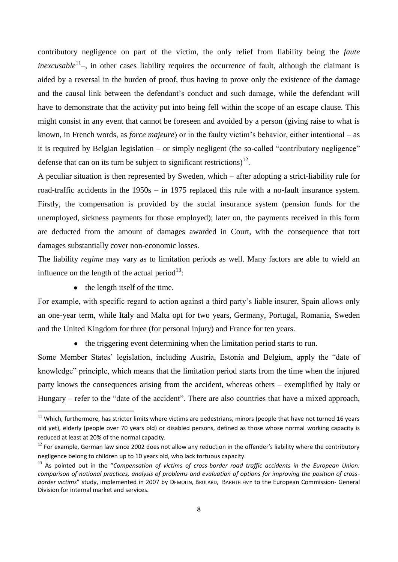contributory negligence on part of the victim, the only relief from liability being the *faute inexcusable*<sup>11</sup>-, in other cases liability requires the occurrence of fault, although the claimant is aided by a reversal in the burden of proof, thus having to prove only the existence of the damage and the causal link between the defendant's conduct and such damage, while the defendant will have to demonstrate that the activity put into being fell within the scope of an escape clause. This might consist in any event that cannot be foreseen and avoided by a person (giving raise to what is known, in French words, as *force majeure*) or in the faulty victim's behavior, either intentional – as it is required by Belgian legislation – or simply negligent (the so-called "contributory negligence" defense that can on its turn be subject to significant restrictions)<sup>12</sup>.

A peculiar situation is then represented by Sweden, which – after adopting a strict-liability rule for road-traffic accidents in the 1950s – in 1975 replaced this rule with a no-fault insurance system. Firstly, the compensation is provided by the social insurance system (pension funds for the unemployed, sickness payments for those employed); later on, the payments received in this form are deducted from the amount of damages awarded in Court, with the consequence that tort damages substantially cover non-economic losses.

The liability *regime* may vary as to limitation periods as well. Many factors are able to wield an influence on the length of the actual period $^{13}$ :

• the length itself of the time.

1

For example, with specific regard to action against a third party's liable insurer, Spain allows only an one-year term, while Italy and Malta opt for two years, Germany, Portugal, Romania, Sweden and the United Kingdom for three (for personal injury) and France for ten years.

• the triggering event determining when the limitation period starts to run.

Some Member States' legislation, including Austria, Estonia and Belgium, apply the "date of knowledge" principle, which means that the limitation period starts from the time when the injured party knows the consequences arising from the accident, whereas others – exemplified by Italy or Hungary – refer to the "date of the accident". There are also countries that have a mixed approach,

 $11$  Which, furthermore, has stricter limits where victims are pedestrians, minors (people that have not turned 16 years old yet), elderly (people over 70 years old) or disabled persons, defined as those whose normal working capacity is reduced at least at 20% of the normal capacity.

 $12$  For example, German law since 2002 does not allow any reduction in the offender's liability where the contributory negligence belong to children up to 10 years old, who lack tortuous capacity.

<sup>13</sup> As pointed out in the "*Compensation of victims of cross-border road traffic accidents in the European Union: comparison of national practices, analysis of problems and evaluation of options for improving the position of crossborder victims*" study, implemented in 2007 by DEMOLIN, BRULARD, BARHTELEMY to the European Commission- General Division for internal market and services.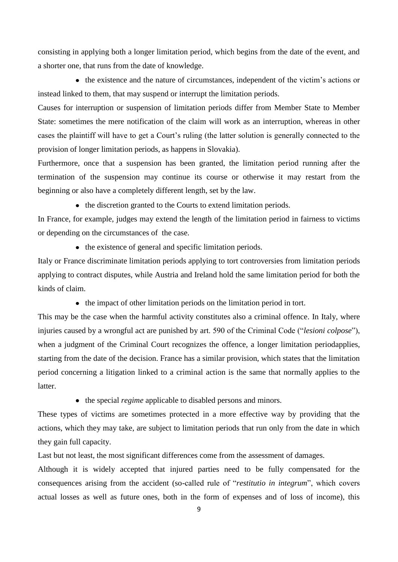consisting in applying both a longer limitation period, which begins from the date of the event, and a shorter one, that runs from the date of knowledge.

• the existence and the nature of circumstances, independent of the victim's actions or instead linked to them, that may suspend or interrupt the limitation periods.

Causes for interruption or suspension of limitation periods differ from Member State to Member State: sometimes the mere notification of the claim will work as an interruption, whereas in other cases the plaintiff will have to get a Court's ruling (the latter solution is generally connected to the provision of longer limitation periods, as happens in Slovakia).

Furthermore, once that a suspension has been granted, the limitation period running after the termination of the suspension may continue its course or otherwise it may restart from the beginning or also have a completely different length, set by the law.

• the discretion granted to the Courts to extend limitation periods.

In France, for example, judges may extend the length of the limitation period in fairness to victims or depending on the circumstances of the case.

• the existence of general and specific limitation periods.

Italy or France discriminate limitation periods applying to tort controversies from limitation periods applying to contract disputes, while Austria and Ireland hold the same limitation period for both the kinds of claim.

• the impact of other limitation periods on the limitation period in tort.

This may be the case when the harmful activity constitutes also a criminal offence. In Italy, where injuries caused by a wrongful act are punished by art. 590 of the Criminal Code ("*lesioni colpose*"), when a judgment of the Criminal Court recognizes the offence, a longer limitation periodapplies, starting from the date of the decision. France has a similar provision, which states that the limitation period concerning a litigation linked to a criminal action is the same that normally applies to the **latter** 

• the special *regime* applicable to disabled persons and minors.

These types of victims are sometimes protected in a more effective way by providing that the actions, which they may take, are subject to limitation periods that run only from the date in which they gain full capacity.

Last but not least, the most significant differences come from the assessment of damages.

Although it is widely accepted that injured parties need to be fully compensated for the consequences arising from the accident (so-called rule of "*restitutio in integrum*", which covers actual losses as well as future ones, both in the form of expenses and of loss of income), this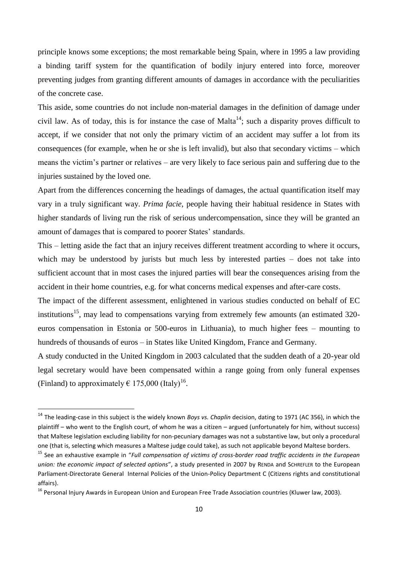principle knows some exceptions; the most remarkable being Spain, where in 1995 a law providing a binding tariff system for the quantification of bodily injury entered into force, moreover preventing judges from granting different amounts of damages in accordance with the peculiarities of the concrete case.

This aside, some countries do not include non-material damages in the definition of damage under civil law. As of today, this is for instance the case of Malta<sup>14</sup>; such a disparity proves difficult to accept, if we consider that not only the primary victim of an accident may suffer a lot from its consequences (for example, when he or she is left invalid), but also that secondary victims – which means the victim's partner or relatives – are very likely to face serious pain and suffering due to the injuries sustained by the loved one.

Apart from the differences concerning the headings of damages, the actual quantification itself may vary in a truly significant way. *Prima facie*, people having their habitual residence in States with higher standards of living run the risk of serious undercompensation, since they will be granted an amount of damages that is compared to poorer States' standards.

This – letting aside the fact that an injury receives different treatment according to where it occurs, which may be understood by jurists but much less by interested parties – does not take into sufficient account that in most cases the injured parties will bear the consequences arising from the accident in their home countries, e.g. for what concerns medical expenses and after-care costs.

The impact of the different assessment, enlightened in various studies conducted on behalf of EC institutions<sup>15</sup>, may lead to compensations varying from extremely few amounts (an estimated 320euros compensation in Estonia or 500-euros in Lithuania), to much higher fees – mounting to hundreds of thousands of euros – in States like United Kingdom, France and Germany.

A study conducted in the United Kingdom in 2003 calculated that the sudden death of a 20-year old legal secretary would have been compensated within a range going from only funeral expenses (Finland) to approximately  $\epsilon$  175,000 (Italy)<sup>16</sup>.

1

<sup>14</sup> The leading-case in this subject is the widely known *Boys vs. Chaplin* decision, dating to 1971 (AC 356), in which the plaintiff – who went to the English court, of whom he was a citizen – argued (unfortunately for him, without success) that Maltese legislation excluding liability for non-pecuniary damages was not a substantive law, but only a procedural one (that is, selecting which measures a Maltese judge could take), as such not applicable beyond Maltese borders.

<sup>15</sup> See an exhaustive example in "*Full compensation of victims of cross-border road traffic accidents in the European union: the economic impact of selected options*", a study presented in 2007 by RENDA and SCHREFLER to the European Parliament-Directorate General Internal Policies of the Union-Policy Department C (Citizens rights and constitutional affairs).

<sup>&</sup>lt;sup>16</sup> Personal Injury Awards in European Union and European Free Trade Association countries (Kluwer law, 2003).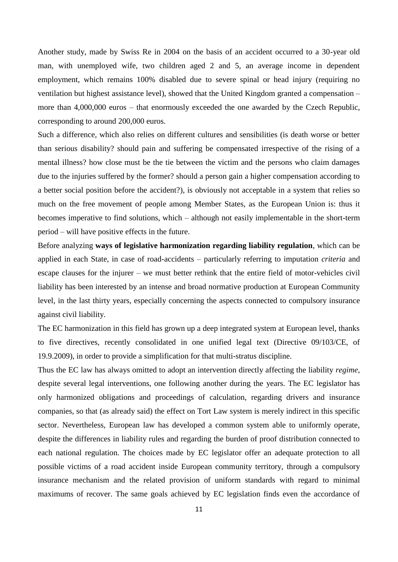Another study, made by Swiss Re in 2004 on the basis of an accident occurred to a 30-year old man, with unemployed wife, two children aged 2 and 5, an average income in dependent employment, which remains 100% disabled due to severe spinal or head injury (requiring no ventilation but highest assistance level), showed that the United Kingdom granted a compensation – more than 4,000,000 euros – that enormously exceeded the one awarded by the Czech Republic, corresponding to around 200,000 euros.

Such a difference, which also relies on different cultures and sensibilities (is death worse or better than serious disability? should pain and suffering be compensated irrespective of the rising of a mental illness? how close must be the tie between the victim and the persons who claim damages due to the injuries suffered by the former? should a person gain a higher compensation according to a better social position before the accident?), is obviously not acceptable in a system that relies so much on the free movement of people among Member States, as the European Union is: thus it becomes imperative to find solutions, which – although not easily implementable in the short-term period – will have positive effects in the future.

Before analyzing **ways of legislative harmonization regarding liability regulation**, which can be applied in each State, in case of road-accidents – particularly referring to imputation *criteria* and escape clauses for the injurer – we must better rethink that the entire field of motor-vehicles civil liability has been interested by an intense and broad normative production at European Community level, in the last thirty years, especially concerning the aspects connected to compulsory insurance against civil liability.

The EC harmonization in this field has grown up a deep integrated system at European level, thanks to five directives, recently consolidated in one unified legal text (Directive 09/103/CE, of 19.9.2009), in order to provide a simplification for that multi-stratus discipline.

Thus the EC law has always omitted to adopt an intervention directly affecting the liability *regime*, despite several legal interventions, one following another during the years. The EC legislator has only harmonized obligations and proceedings of calculation, regarding drivers and insurance companies, so that (as already said) the effect on Tort Law system is merely indirect in this specific sector. Nevertheless, European law has developed a common system able to uniformly operate, despite the differences in liability rules and regarding the burden of proof distribution connected to each national regulation. The choices made by EC legislator offer an adequate protection to all possible victims of a road accident inside European community territory, through a compulsory insurance mechanism and the related provision of uniform standards with regard to minimal maximums of recover. The same goals achieved by EC legislation finds even the accordance of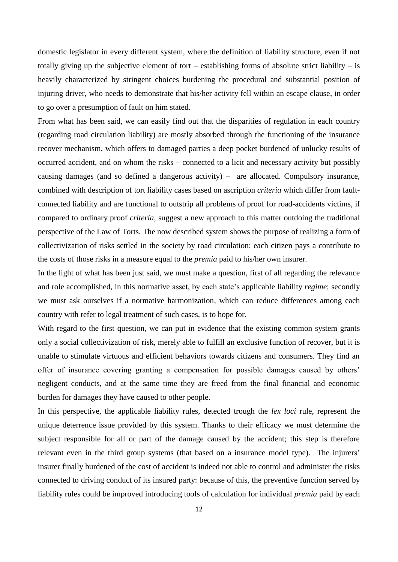domestic legislator in every different system, where the definition of liability structure, even if not totally giving up the subjective element of tort – establishing forms of absolute strict liability – is heavily characterized by stringent choices burdening the procedural and substantial position of injuring driver, who needs to demonstrate that his/her activity fell within an escape clause, in order to go over a presumption of fault on him stated.

From what has been said, we can easily find out that the disparities of regulation in each country (regarding road circulation liability) are mostly absorbed through the functioning of the insurance recover mechanism, which offers to damaged parties a deep pocket burdened of unlucky results of occurred accident, and on whom the risks – connected to a licit and necessary activity but possibly causing damages (and so defined a dangerous activity) – are allocated. Compulsory insurance, combined with description of tort liability cases based on ascription *criteria* which differ from faultconnected liability and are functional to outstrip all problems of proof for road-accidents victims, if compared to ordinary proof *criteria*, suggest a new approach to this matter outdoing the traditional perspective of the Law of Torts. The now described system shows the purpose of realizing a form of collectivization of risks settled in the society by road circulation: each citizen pays a contribute to the costs of those risks in a measure equal to the *premia* paid to his/her own insurer.

In the light of what has been just said, we must make a question, first of all regarding the relevance and role accomplished, in this normative asset, by each state's applicable liability *regime*; secondly we must ask ourselves if a normative harmonization, which can reduce differences among each country with refer to legal treatment of such cases, is to hope for.

With regard to the first question, we can put in evidence that the existing common system grants only a social collectivization of risk, merely able to fulfill an exclusive function of recover, but it is unable to stimulate virtuous and efficient behaviors towards citizens and consumers. They find an offer of insurance covering granting a compensation for possible damages caused by others' negligent conducts, and at the same time they are freed from the final financial and economic burden for damages they have caused to other people.

In this perspective, the applicable liability rules, detected trough the *lex loci* rule, represent the unique deterrence issue provided by this system. Thanks to their efficacy we must determine the subject responsible for all or part of the damage caused by the accident; this step is therefore relevant even in the third group systems (that based on a insurance model type). The injurers' insurer finally burdened of the cost of accident is indeed not able to control and administer the risks connected to driving conduct of its insured party: because of this, the preventive function served by liability rules could be improved introducing tools of calculation for individual *premia* paid by each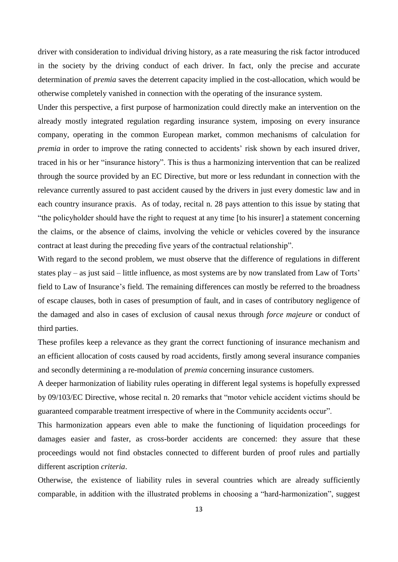driver with consideration to individual driving history, as a rate measuring the risk factor introduced in the society by the driving conduct of each driver. In fact, only the precise and accurate determination of *premia* saves the deterrent capacity implied in the cost-allocation, which would be otherwise completely vanished in connection with the operating of the insurance system.

Under this perspective, a first purpose of harmonization could directly make an intervention on the already mostly integrated regulation regarding insurance system, imposing on every insurance company, operating in the common European market, common mechanisms of calculation for *premia* in order to improve the rating connected to accidents' risk shown by each insured driver, traced in his or her "insurance history". This is thus a harmonizing intervention that can be realized through the source provided by an EC Directive, but more or less redundant in connection with the relevance currently assured to past accident caused by the drivers in just every domestic law and in each country insurance praxis. As of today, recital n. 28 pays attention to this issue by stating that "the policyholder should have the right to request at any time [to his insurer] a statement concerning the claims, or the absence of claims, involving the vehicle or vehicles covered by the insurance contract at least during the preceding five years of the contractual relationship".

With regard to the second problem, we must observe that the difference of regulations in different states play – as just said – little influence, as most systems are by now translated from Law of Torts' field to Law of Insurance's field. The remaining differences can mostly be referred to the broadness of escape clauses, both in cases of presumption of fault, and in cases of contributory negligence of the damaged and also in cases of exclusion of causal nexus through *force majeure* or conduct of third parties.

These profiles keep a relevance as they grant the correct functioning of insurance mechanism and an efficient allocation of costs caused by road accidents, firstly among several insurance companies and secondly determining a re-modulation of *premia* concerning insurance customers.

A deeper harmonization of liability rules operating in different legal systems is hopefully expressed by 09/103/EC Directive, whose recital n. 20 remarks that "motor vehicle accident victims should be guaranteed comparable treatment irrespective of where in the Community accidents occur".

This harmonization appears even able to make the functioning of liquidation proceedings for damages easier and faster, as cross-border accidents are concerned: they assure that these proceedings would not find obstacles connected to different burden of proof rules and partially different ascription *criteria*.

Otherwise, the existence of liability rules in several countries which are already sufficiently comparable, in addition with the illustrated problems in choosing a "hard-harmonization", suggest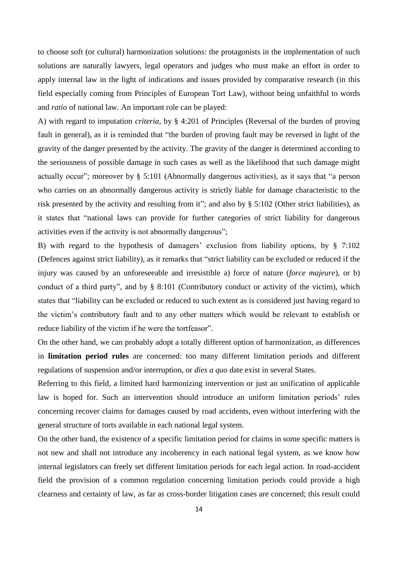to choose soft (or cultural) harmonization solutions: the protagonists in the implementation of such solutions are naturally lawyers, legal operators and judges who must make an effort in order to apply internal law in the light of indications and issues provided by comparative research (in this field especially coming from Principles of European Tort Law), without being unfaithful to words and *ratio* of national law. An important role can be played:

A) with regard to imputation *criteria*, by § 4:201 of Principles (Reversal of the burden of proving fault in general), as it is reminded that "the burden of proving fault may be reversed in light of the gravity of the danger presented by the activity. The gravity of the danger is determined according to the seriousness of possible damage in such cases as well as the likelihood that such damage might actually occur"; moreover by § 5:101 (Abnormally dangerous activities), as it says that "a person who carries on an abnormally dangerous activity is strictly liable for damage characteristic to the risk presented by the activity and resulting from it"; and also by § 5:102 (Other strict liabilities), as it states that "national laws can provide for further categories of strict liability for dangerous activities even if the activity is not abnormally dangerous";

B) with regard to the hypothesis of damagers' exclusion from liability options, by § 7:102 (Defences against strict liability), as it remarks that "strict liability can be excluded or reduced if the injury was caused by an unforeseeable and irresistible a) force of nature (*force majeure*), or b) conduct of a third party", and by § 8:101 (Contributory conduct or activity of the victim), which states that "liability can be excluded or reduced to such extent as is considered just having regard to the victim's contributory fault and to any other matters which would be relevant to establish or reduce liability of the victim if he were the tortfeasor".

On the other hand, we can probably adopt a totally different option of harmonization, as differences in **limitation period rules** are concerned: too many different limitation periods and different regulations of suspension and/or interruption, or *dies a quo* date exist in several States.

Referring to this field, a limited hard harmonizing intervention or just an unification of applicable law is hoped for. Such an intervention should introduce an uniform limitation periods' rules concerning recover claims for damages caused by road accidents, even without interfering with the general structure of torts available in each national legal system.

On the other hand, the existence of a specific limitation period for claims in some specific matters is not new and shall not introduce any incoherency in each national legal system, as we know how internal legislators can freely set different limitation periods for each legal action. In road-accident field the provision of a common regulation concerning limitation periods could provide a high clearness and certainty of law, as far as cross-border litigation cases are concerned; this result could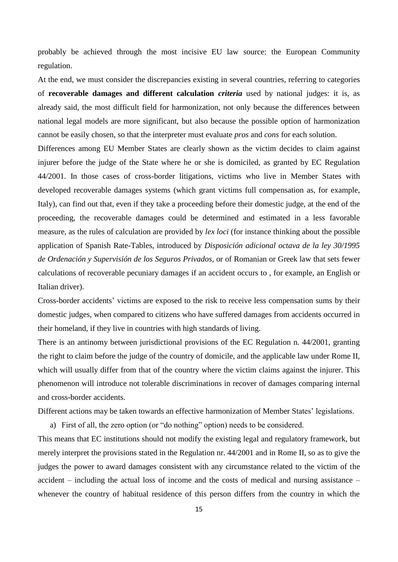probably be achieved through the most incisive EU law source: the European Community regulation.

At the end, we must consider the discrepancies existing in several countries, referring to categories of **recoverable damages and different calculation** *criteria* used by national judges: it is, as already said, the most difficult field for harmonization, not only because the differences between national legal models are more significant, but also because the possible option of harmonization cannot be easily chosen, so that the interpreter must evaluate *pros* and *cons* for each solution.

Differences among EU Member States are clearly shown as the victim decides to claim against injurer before the judge of the State where he or she is domiciled, as granted by EC Regulation 44/2001. In those cases of cross-border litigations, victims who live in Member States with developed recoverable damages systems (which grant victims full compensation as, for example, Italy), can find out that, even if they take a proceeding before their domestic judge, at the end of the proceeding, the recoverable damages could be determined and estimated in a less favorable measure, as the rules of calculation are provided by *lex loci* (for instance thinking about the possible application of Spanish Rate-Tables, introduced by *Disposición adicional octava de la ley 30/1995 de Ordenación y Supervisión de los Seguros Privados*, or of Romanian or Greek law that sets fewer calculations of recoverable pecuniary damages if an accident occurs to , for example, an English or Italian driver).

Cross-border accidents' victims are exposed to the risk to receive less compensation sums by their domestic judges, when compared to citizens who have suffered damages from accidents occurred in their homeland, if they live in countries with high standards of living.

There is an antinomy between jurisdictional provisions of the EC Regulation n. 44/2001, granting the right to claim before the judge of the country of domicile, and the applicable law under Rome II, which will usually differ from that of the country where the victim claims against the injurer. This phenomenon will introduce not tolerable discriminations in recover of damages comparing internal and cross-border accidents.

Different actions may be taken towards an effective harmonization of Member States' legislations.

a) First of all, the zero option (or "do nothing" option) needs to be considered.

This means that EC institutions should not modify the existing legal and regulatory framework, but merely interpret the provisions stated in the Regulation nr. 44/2001 and in Rome II, so as to give the judges the power to award damages consistent with any circumstance related to the victim of the accident – including the actual loss of income and the costs of medical and nursing assistance – whenever the country of habitual residence of this person differs from the country in which the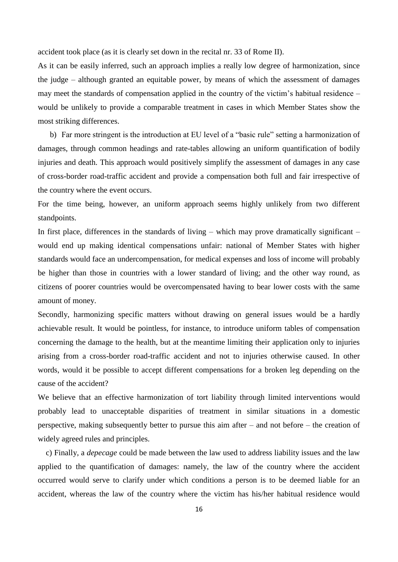accident took place (as it is clearly set down in the recital nr. 33 of Rome II).

As it can be easily inferred, such an approach implies a really low degree of harmonization, since the judge – although granted an equitable power, by means of which the assessment of damages may meet the standards of compensation applied in the country of the victim's habitual residence – would be unlikely to provide a comparable treatment in cases in which Member States show the most striking differences.

b) Far more stringent is the introduction at EU level of a "basic rule" setting a harmonization of damages, through common headings and rate-tables allowing an uniform quantification of bodily injuries and death. This approach would positively simplify the assessment of damages in any case of cross-border road-traffic accident and provide a compensation both full and fair irrespective of the country where the event occurs.

For the time being, however, an uniform approach seems highly unlikely from two different standpoints.

In first place, differences in the standards of living – which may prove dramatically significant – would end up making identical compensations unfair: national of Member States with higher standards would face an undercompensation, for medical expenses and loss of income will probably be higher than those in countries with a lower standard of living; and the other way round, as citizens of poorer countries would be overcompensated having to bear lower costs with the same amount of money.

Secondly, harmonizing specific matters without drawing on general issues would be a hardly achievable result. It would be pointless, for instance, to introduce uniform tables of compensation concerning the damage to the health, but at the meantime limiting their application only to injuries arising from a cross-border road-traffic accident and not to injuries otherwise caused. In other words, would it be possible to accept different compensations for a broken leg depending on the cause of the accident?

We believe that an effective harmonization of tort liability through limited interventions would probably lead to unacceptable disparities of treatment in similar situations in a domestic perspective, making subsequently better to pursue this aim after – and not before – the creation of widely agreed rules and principles.

 c) Finally, a *depecage* could be made between the law used to address liability issues and the law applied to the quantification of damages: namely, the law of the country where the accident occurred would serve to clarify under which conditions a person is to be deemed liable for an accident, whereas the law of the country where the victim has his/her habitual residence would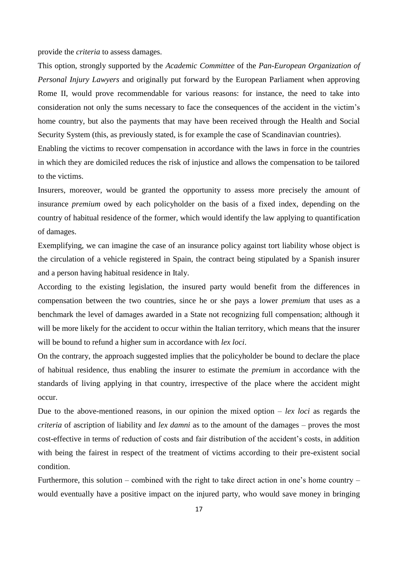provide the *criteria* to assess damages.

This option, strongly supported by the *Academic Committee* of the *Pan-European Organization of Personal Injury Lawyers* and originally put forward by the European Parliament when approving Rome II, would prove recommendable for various reasons: for instance, the need to take into consideration not only the sums necessary to face the consequences of the accident in the victim's home country, but also the payments that may have been received through the Health and Social Security System (this, as previously stated, is for example the case of Scandinavian countries).

Enabling the victims to recover compensation in accordance with the laws in force in the countries in which they are domiciled reduces the risk of injustice and allows the compensation to be tailored to the victims.

Insurers, moreover, would be granted the opportunity to assess more precisely the amount of insurance *premium* owed by each policyholder on the basis of a fixed index, depending on the country of habitual residence of the former, which would identify the law applying to quantification of damages.

Exemplifying, we can imagine the case of an insurance policy against tort liability whose object is the circulation of a vehicle registered in Spain, the contract being stipulated by a Spanish insurer and a person having habitual residence in Italy.

According to the existing legislation, the insured party would benefit from the differences in compensation between the two countries, since he or she pays a lower *premium* that uses as a benchmark the level of damages awarded in a State not recognizing full compensation; although it will be more likely for the accident to occur within the Italian territory, which means that the insurer will be bound to refund a higher sum in accordance with *lex loci*.

On the contrary, the approach suggested implies that the policyholder be bound to declare the place of habitual residence, thus enabling the insurer to estimate the *premium* in accordance with the standards of living applying in that country, irrespective of the place where the accident might occur.

Due to the above-mentioned reasons, in our opinion the mixed option – *lex loci* as regards the *criteria* of ascription of liability and *lex damni* as to the amount of the damages – proves the most cost-effective in terms of reduction of costs and fair distribution of the accident's costs, in addition with being the fairest in respect of the treatment of victims according to their pre-existent social condition.

Furthermore, this solution – combined with the right to take direct action in one's home country – would eventually have a positive impact on the injured party, who would save money in bringing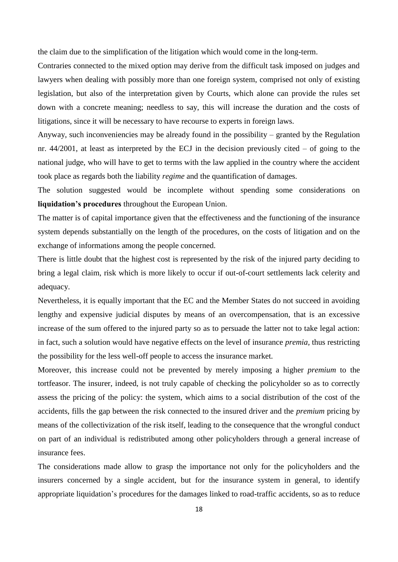the claim due to the simplification of the litigation which would come in the long-term.

Contraries connected to the mixed option may derive from the difficult task imposed on judges and lawyers when dealing with possibly more than one foreign system, comprised not only of existing legislation, but also of the interpretation given by Courts, which alone can provide the rules set down with a concrete meaning; needless to say, this will increase the duration and the costs of litigations, since it will be necessary to have recourse to experts in foreign laws.

Anyway, such inconveniencies may be already found in the possibility – granted by the Regulation nr. 44/2001, at least as interpreted by the ECJ in the decision previously cited – of going to the national judge, who will have to get to terms with the law applied in the country where the accident took place as regards both the liability *regime* and the quantification of damages.

The solution suggested would be incomplete without spending some considerations on **liquidation's procedures** throughout the European Union.

The matter is of capital importance given that the effectiveness and the functioning of the insurance system depends substantially on the length of the procedures, on the costs of litigation and on the exchange of informations among the people concerned.

There is little doubt that the highest cost is represented by the risk of the injured party deciding to bring a legal claim, risk which is more likely to occur if out-of-court settlements lack celerity and adequacy.

Nevertheless, it is equally important that the EC and the Member States do not succeed in avoiding lengthy and expensive judicial disputes by means of an overcompensation, that is an excessive increase of the sum offered to the injured party so as to persuade the latter not to take legal action: in fact, such a solution would have negative effects on the level of insurance *premia,* thus restricting the possibility for the less well-off people to access the insurance market.

Moreover, this increase could not be prevented by merely imposing a higher *premium* to the tortfeasor. The insurer, indeed, is not truly capable of checking the policyholder so as to correctly assess the pricing of the policy: the system, which aims to a social distribution of the cost of the accidents, fills the gap between the risk connected to the insured driver and the *premium* pricing by means of the collectivization of the risk itself, leading to the consequence that the wrongful conduct on part of an individual is redistributed among other policyholders through a general increase of insurance fees.

The considerations made allow to grasp the importance not only for the policyholders and the insurers concerned by a single accident, but for the insurance system in general, to identify appropriate liquidation's procedures for the damages linked to road-traffic accidents, so as to reduce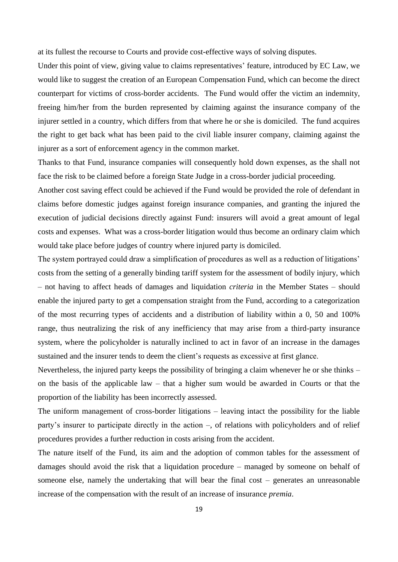at its fullest the recourse to Courts and provide cost-effective ways of solving disputes.

Under this point of view, giving value to claims representatives' feature, introduced by EC Law, we would like to suggest the creation of an European Compensation Fund, which can become the direct counterpart for victims of cross-border accidents. The Fund would offer the victim an indemnity, freeing him/her from the burden represented by claiming against the insurance company of the injurer settled in a country, which differs from that where he or she is domiciled. The fund acquires the right to get back what has been paid to the civil liable insurer company, claiming against the injurer as a sort of enforcement agency in the common market.

Thanks to that Fund, insurance companies will consequently hold down expenses, as the shall not face the risk to be claimed before a foreign State Judge in a cross-border judicial proceeding.

Another cost saving effect could be achieved if the Fund would be provided the role of defendant in claims before domestic judges against foreign insurance companies, and granting the injured the execution of judicial decisions directly against Fund: insurers will avoid a great amount of legal costs and expenses. What was a cross-border litigation would thus become an ordinary claim which would take place before judges of country where injured party is domiciled.

The system portrayed could draw a simplification of procedures as well as a reduction of litigations' costs from the setting of a generally binding tariff system for the assessment of bodily injury, which – not having to affect heads of damages and liquidation *criteria* in the Member States – should enable the injured party to get a compensation straight from the Fund, according to a categorization of the most recurring types of accidents and a distribution of liability within a 0, 50 and 100% range, thus neutralizing the risk of any inefficiency that may arise from a third-party insurance system, where the policyholder is naturally inclined to act in favor of an increase in the damages sustained and the insurer tends to deem the client's requests as excessive at first glance.

Nevertheless, the injured party keeps the possibility of bringing a claim whenever he or she thinks – on the basis of the applicable law – that a higher sum would be awarded in Courts or that the proportion of the liability has been incorrectly assessed.

The uniform management of cross-border litigations – leaving intact the possibility for the liable party's insurer to participate directly in the action –, of relations with policyholders and of relief procedures provides a further reduction in costs arising from the accident.

The nature itself of the Fund, its aim and the adoption of common tables for the assessment of damages should avoid the risk that a liquidation procedure – managed by someone on behalf of someone else, namely the undertaking that will bear the final cost – generates an unreasonable increase of the compensation with the result of an increase of insurance *premia*.